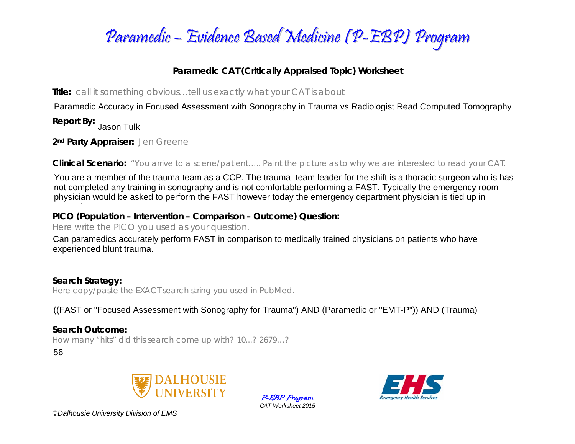

## **Paramedic CAT (Critically Appraised Topic) Worksheet**

**Title:** *call it something obvious…tell us exactly what your CAT is about* 

Paramedic Accuracy in Focused Assessment with Sonography in Trauma vs Radiologist Read Computed Tomography

**Report By:**  Jason Tulk

**2nd Party Appraiser:** *Jen Greene* 

**Clinical Scenario:** *"You arrive to a scene/patient….. Paint the picture as to why we are interested to read your CAT.*

You are a member of the trauma team as a CCP. The trauma team leader for the shift is a thoracic surgeon who is has<br>not completed any training in sonography and is not comfortable performing a FAST. Typically the emergency physician would be asked to perform the FAST however today the emergency department physician is tied up in

## **PICO (Population – Intervention – Comparison – Outcome) Question:**  managin

*Here write the PICO you used as your question.* 

Can paramedics accurately perform FAST in comparison to medically trained physicians on patients who have

**Search Strategy:**  *Here copy/paste the EXACT search string you used in PubMed.*  experienced blunt trauma.<br>
Search Strategy:<br>
Here copy/paste the EXACT search string you used in PubMed.<br>
((FAST or "Focused Assessment with Sonography for Trauma") AND (Paramedic or "EMT-P")) AND (Trauma)

## **Search Outcome:**

*How many "hits" did this search come up with? 10...? 2679…?* 

56







*©Dalhousie University Division of EMS*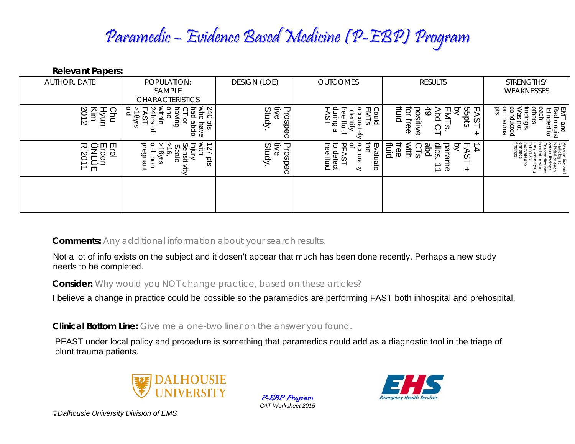## Paramedic – Evidence Based Medicine (P-EBP) Program

**Relevant Papers:** 

| <b>AUTHOR, DATE</b>                                                     | POPULATION:<br>SAMPLE                                                                                                                                          | <b>DESIGN (LOE)</b>         | <b>OUTCOMES</b>                                                                                          | <b>RESULTS</b>                                                                                                    | STRENGTHS/<br>WEAKNESSES                                                                                              |
|-------------------------------------------------------------------------|----------------------------------------------------------------------------------------------------------------------------------------------------------------|-----------------------------|----------------------------------------------------------------------------------------------------------|-------------------------------------------------------------------------------------------------------------------|-----------------------------------------------------------------------------------------------------------------------|
|                                                                         | <b>CHARACTERISTICS</b>                                                                                                                                         |                             |                                                                                                          |                                                                                                                   |                                                                                                                       |
| ိ<br>yun<br><u>.</u><br>Ξ<br>З<br>$\rightarrow$<br>N                    | 240<br>Who<br>윤<br>pulven<br>ہو<br>a<br>one<br>24hrs<br>within<br>C)<br>√8)<br>⋗<br>sid<br><u>ુ</u><br>abda<br>have<br>$\mathbf{Q}_n$                          | 手<br>Study.<br>Prospec<br>ଚ | Could<br>EMTS<br>during<br>accu<br>rree<br>der<br>⋗<br>ō٥<br>ים<br>⊼<br>ω                                | fluid<br>了<br>.g<br>ვ<br>თ<br>೦೦<br>ğ<br>49<br>₽<br>pts<br>ξů<br>$\vec{a}$<br>ヺ<br>$\Omega$<br>ဖ္<br>ወ<br>ଚ<br>÷  | EMT and<br>Radiologist<br>blinded to<br>ទ្ធ<br>$\epsilon$<br>conducted<br>on trauma<br>findings.<br>Was not<br>others |
| Eulion<br>Particle<br>Particle<br>СÐ<br>$\overline{\phantom{0}}$<br>→ m | pregnant<br>$>18yrs$<br>old, nor<br>$\vec{v}$<br>×ith<br>$\overline{\phantom{0}}$<br>ens<br>$\overline{\mathsf{e}}$<br>icale<br><b>uou</b><br>sid<br>Ë.<br>ਟੋਂ | tive<br>Study.<br>Prospec   | ്ജ<br>$\overline{\sigma}$<br>to de<br>Po<br>₹<br>꼰<br>Evaluate<br>detect<br>se fluid<br>chracy<br>ن<br>4 | ᅙ<br>ᠸ<br>abd<br>dics<br>ᆩ<br>$\frac{1}{4}$<br>liuid<br>E<br>with<br>iree<br>ara<br>⊳<br>್ದ<br>ഗ<br>⊸ ወ<br>$\div$ | Paramedics and<br>Radiologist<br>blinded to each<br>indiji<br>Gig<br>ages<br>Sang<br>Times<br>Times                   |
|                                                                         |                                                                                                                                                                |                             |                                                                                                          |                                                                                                                   |                                                                                                                       |

**Comments:** *Any additional information about your search results.*

**Consider:** *Why would you NOT change practice, based on these articles?*

**Clinical Bottom Line:** *Give me a one-two liner on the answer you found.*

Not a lot of info exists on the subject and it dosen't appear that much has been done recently. Perhaps a new study<br>needs to be completed.<br>Consider: *Why would you NOT change practice, based on these articles?*<br>I believe a



P-EBP Program *CAT Worksheet 2015* 



*©Dalhousie University Division of EMS*